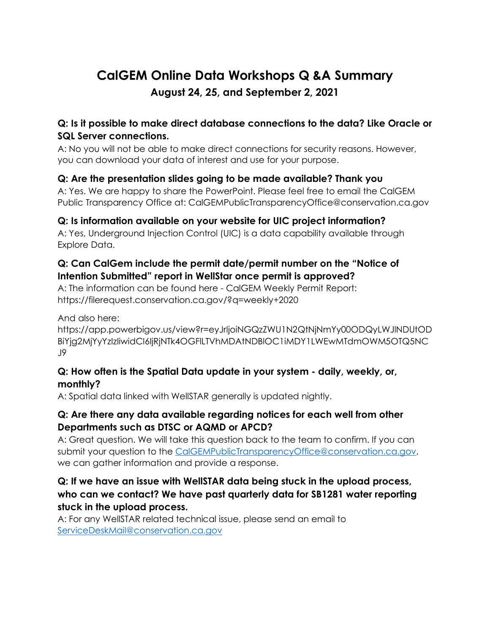# **CalGEM Online Data Workshops Q &A Summary August 24, 25, and September 2, 2021**

### **Q: Is it possible to make direct database connections to the data? Like Oracle or SQL Server connections.**

A: No you will not be able to make direct connections for security reasons. However, you can download your data of interest and use for your purpose.

## **Q: Are the presentation slides going to be made available? Thank you**

A: Yes. We are happy to share the PowerPoint. Please feel free to email the CalGEM Public Transparency Office at: [CalGEMPublicTransparencyOffice@conservation.ca.gov](mailto:CalGEMPublicTransparencyOffice@conservation.ca.gov)

## **Q: Is information available on your website for UIC project information?**

A: Yes, Underground Injection Control (UIC) is a data capability available through Explore Data.

### **Q: Can CalGem include the permit date/permit number on the "Notice of Intention Submitted" report in WellStar once permit is approved?**

A: The information can be found here - CalGEM Weekly Permit Report: <https://filerequest.conservation.ca.gov/?q=weekly+2020>

And also here:

[https://app.powerbigov.us/view?r=eyJrIjoiNGQzZWU1N2QtNjNmYy00ODQyLWJlNDUtOD](https://app.powerbigov.us/view?r=eyJrIjoiNGQzZWU1N2QtNjNmYy00ODQyLWJlNDUtODBiYjg2MjYyYzIzIiwidCI6IjRjNTk4OGFlLTVhMDAtNDBlOC1iMDY1LWEwMTdmOWM5OTQ5NCJ9) [BiYjg2MjYyYzIzIiwidCI6IjRjNTk4OGFlLTVhMDAtNDBlOC1iMDY1LWEwMTdmOWM5OTQ5NC](https://app.powerbigov.us/view?r=eyJrIjoiNGQzZWU1N2QtNjNmYy00ODQyLWJlNDUtODBiYjg2MjYyYzIzIiwidCI6IjRjNTk4OGFlLTVhMDAtNDBlOC1iMDY1LWEwMTdmOWM5OTQ5NCJ9) [J9](https://app.powerbigov.us/view?r=eyJrIjoiNGQzZWU1N2QtNjNmYy00ODQyLWJlNDUtODBiYjg2MjYyYzIzIiwidCI6IjRjNTk4OGFlLTVhMDAtNDBlOC1iMDY1LWEwMTdmOWM5OTQ5NCJ9) 

### **Q: How often is the Spatial Data update in your system - daily, weekly, or, monthly?**

A: Spatial data linked with WellSTAR generally is updated nightly.

### **Q: Are there any data available regarding notices for each well from other Departments such as DTSC or AQMD or APCD?**

A: Great question. We will take this question back to the team to confirm. If you can submit your question to the [CalGEMPublicTransparencyOffice@conservation.ca.gov,](mailto:CalGEMPublicTransparencyOffice@conservation.ca.gov) we can gather information and provide a response.

## **Q: If we have an issue with WellSTAR data being stuck in the upload process, who can we contact? We have past quarterly data for SB1281 water reporting stuck in the upload process.**

A: For any WellSTAR related technical issue, please send an email to [ServiceDeskMail@conservation.ca.gov](mailto:ServiceDeskMail@conservation.ca.gov)